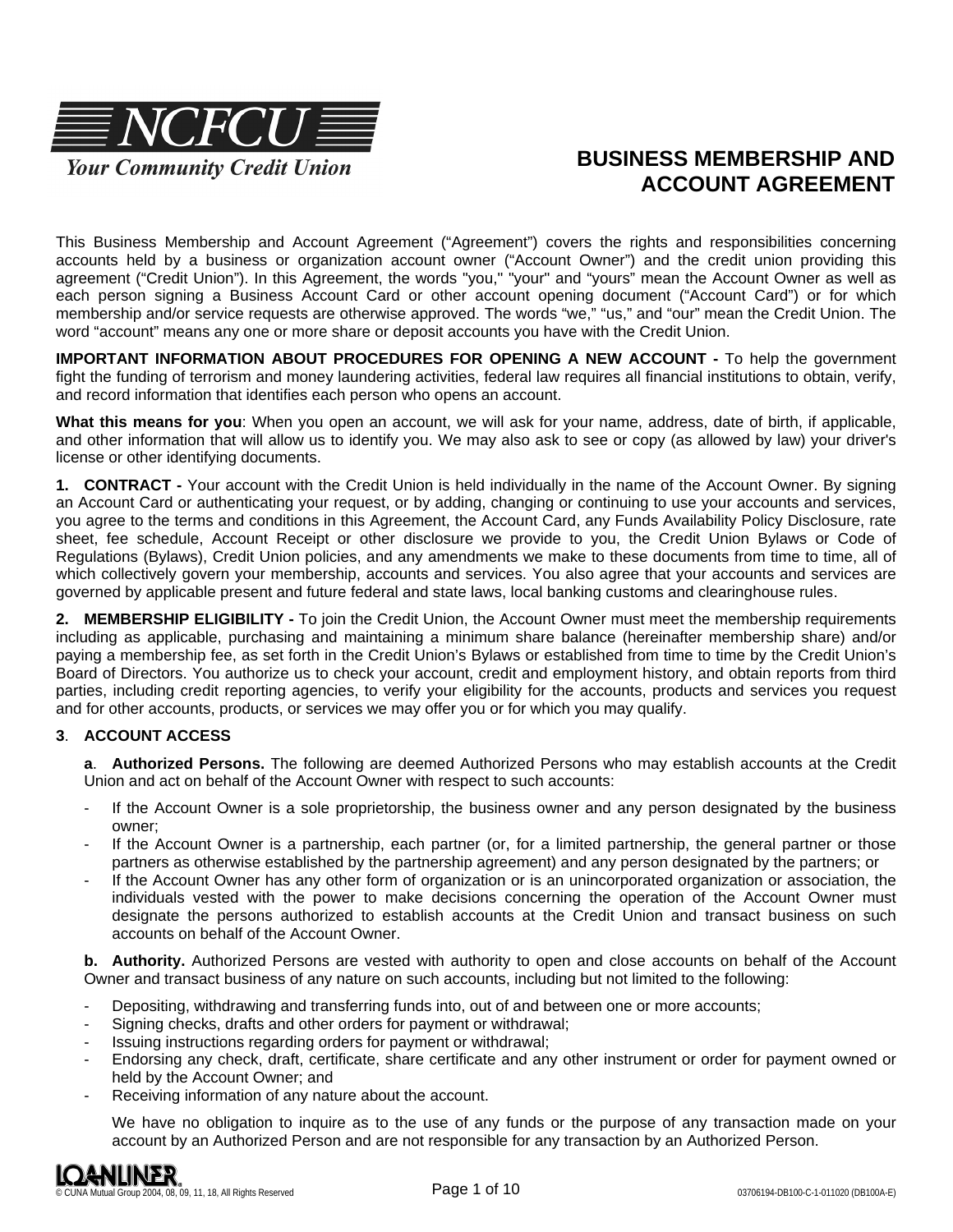

# **BUSINESS MEMBERSHIP AND ACCOUNT AGREEMENT**

This Business Membership and Account Agreement ("Agreement") covers the rights and responsibilities concerning accounts held by a business or organization account owner ("Account Owner") and the credit union providing this agreement ("Credit Union"). In this Agreement, the words "you," "your" and "yours" mean the Account Owner as well as each person signing a Business Account Card or other account opening document ("Account Card") or for which membership and/or service requests are otherwise approved. The words "we," "us," and "our" mean the Credit Union. The word "account" means any one or more share or deposit accounts you have with the Credit Union.

**IMPORTANT INFORMATION ABOUT PROCEDURES FOR OPENING A NEW ACCOUNT -** To help the government fight the funding of terrorism and money laundering activities, federal law requires all financial institutions to obtain, verify, and record information that identifies each person who opens an account.

**What this means for you**: When you open an account, we will ask for your name, address, date of birth, if applicable, and other information that will allow us to identify you. We may also ask to see or copy (as allowed by law) your driver's license or other identifying documents.

**1. CONTRACT -** Your account with the Credit Union is held individually in the name of the Account Owner. By signing an Account Card or authenticating your request, or by adding, changing or continuing to use your accounts and services, you agree to the terms and conditions in this Agreement, the Account Card, any Funds Availability Policy Disclosure, rate sheet, fee schedule, Account Receipt or other disclosure we provide to you, the Credit Union Bylaws or Code of Regulations (Bylaws), Credit Union policies, and any amendments we make to these documents from time to time, all of which collectively govern your membership, accounts and services. You also agree that your accounts and services are governed by applicable present and future federal and state laws, local banking customs and clearinghouse rules.

**2. MEMBERSHIP ELIGIBILITY -** To join the Credit Union, the Account Owner must meet the membership requirements including as applicable, purchasing and maintaining a minimum share balance (hereinafter membership share) and/or paying a membership fee, as set forth in the Credit Union's Bylaws or established from time to time by the Credit Union's Board of Directors. You authorize us to check your account, credit and employment history, and obtain reports from third parties, including credit reporting agencies, to verify your eligibility for the accounts, products and services you request and for other accounts, products, or services we may offer you or for which you may qualify.

## **3**. **ACCOUNT ACCESS**

**a**. **Authorized Persons.** The following are deemed Authorized Persons who may establish accounts at the Credit Union and act on behalf of the Account Owner with respect to such accounts:

- If the Account Owner is a sole proprietorship, the business owner and any person designated by the business owner;
- If the Account Owner is a partnership, each partner (or, for a limited partnership, the general partner or those partners as otherwise established by the partnership agreement) and any person designated by the partners; or
- If the Account Owner has any other form of organization or is an unincorporated organization or association, the individuals vested with the power to make decisions concerning the operation of the Account Owner must designate the persons authorized to establish accounts at the Credit Union and transact business on such accounts on behalf of the Account Owner.

**b. Authority.** Authorized Persons are vested with authority to open and close accounts on behalf of the Account Owner and transact business of any nature on such accounts, including but not limited to the following:

- Depositing, withdrawing and transferring funds into, out of and between one or more accounts;
- Signing checks, drafts and other orders for payment or withdrawal;
- Issuing instructions regarding orders for payment or withdrawal;
- Endorsing any check, draft, certificate, share certificate and any other instrument or order for payment owned or held by the Account Owner; and
- Receiving information of any nature about the account.

We have no obligation to inquire as to the use of any funds or the purpose of any transaction made on your account by an Authorized Person and are not responsible for any transaction by an Authorized Person.

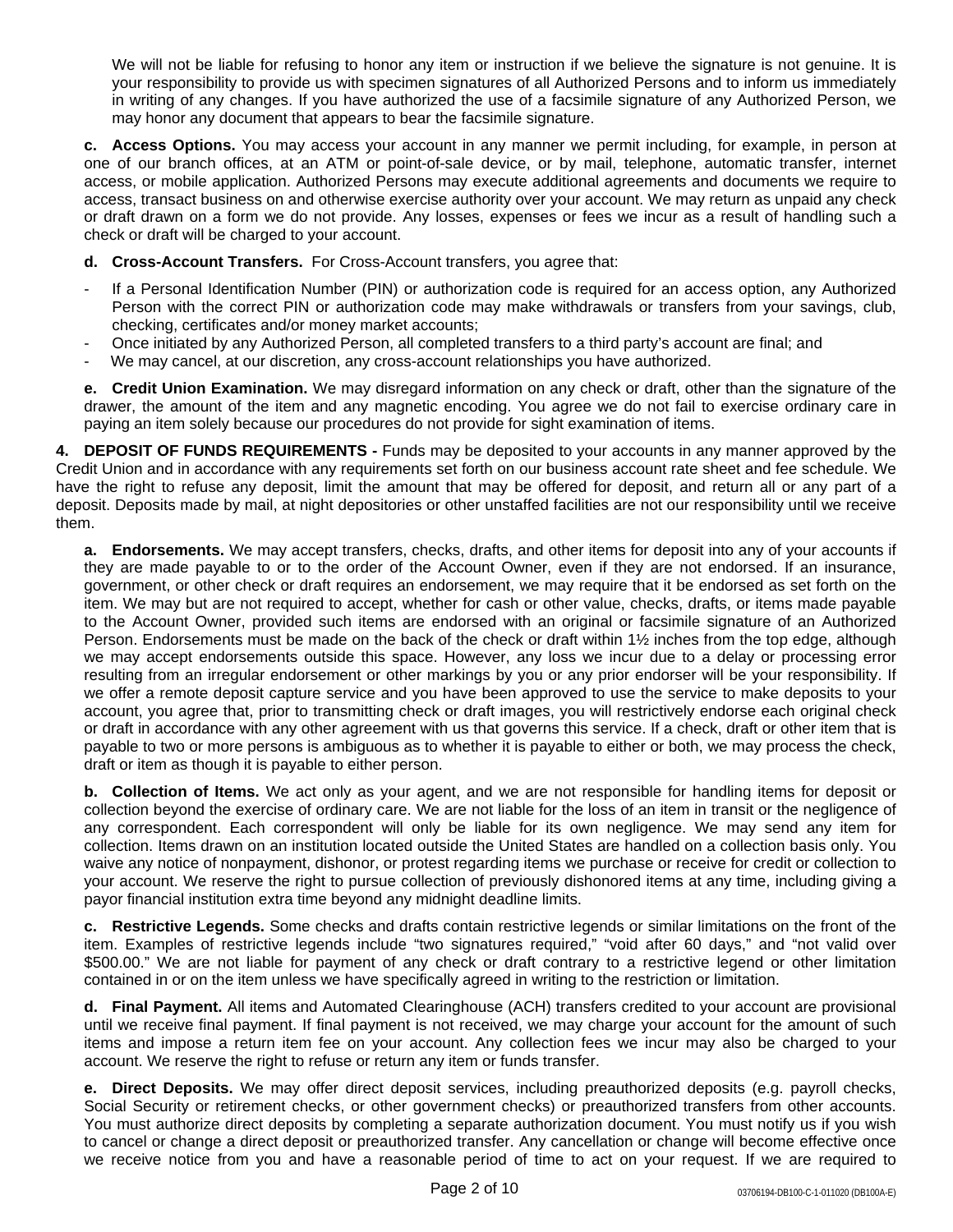We will not be liable for refusing to honor any item or instruction if we believe the signature is not genuine. It is your responsibility to provide us with specimen signatures of all Authorized Persons and to inform us immediately in writing of any changes. If you have authorized the use of a facsimile signature of any Authorized Person, we may honor any document that appears to bear the facsimile signature.

**c. Access Options.** You may access your account in any manner we permit including, for example, in person at one of our branch offices, at an ATM or point-of-sale device, or by mail, telephone, automatic transfer, internet access, or mobile application. Authorized Persons may execute additional agreements and documents we require to access, transact business on and otherwise exercise authority over your account. We may return as unpaid any check or draft drawn on a form we do not provide. Any losses, expenses or fees we incur as a result of handling such a check or draft will be charged to your account.

- **d. Cross-Account Transfers.** For Cross-Account transfers, you agree that:
- If a Personal Identification Number (PIN) or authorization code is required for an access option, any Authorized Person with the correct PIN or authorization code may make withdrawals or transfers from your savings, club, checking, certificates and/or money market accounts;
- Once initiated by any Authorized Person, all completed transfers to a third party's account are final; and
- We may cancel, at our discretion, any cross-account relationships you have authorized.

**e. Credit Union Examination.** We may disregard information on any check or draft, other than the signature of the drawer, the amount of the item and any magnetic encoding. You agree we do not fail to exercise ordinary care in paying an item solely because our procedures do not provide for sight examination of items.

**4. DEPOSIT OF FUNDS REQUIREMENTS -** Funds may be deposited to your accounts in any manner approved by the Credit Union and in accordance with any requirements set forth on our business account rate sheet and fee schedule. We have the right to refuse any deposit, limit the amount that may be offered for deposit, and return all or any part of a deposit. Deposits made by mail, at night depositories or other unstaffed facilities are not our responsibility until we receive them.

**a. Endorsements.** We may accept transfers, checks, drafts, and other items for deposit into any of your accounts if they are made payable to or to the order of the Account Owner, even if they are not endorsed. If an insurance, government, or other check or draft requires an endorsement, we may require that it be endorsed as set forth on the item. We may but are not required to accept, whether for cash or other value, checks, drafts, or items made payable to the Account Owner, provided such items are endorsed with an original or facsimile signature of an Authorized Person. Endorsements must be made on the back of the check or draft within 1½ inches from the top edge, although we may accept endorsements outside this space. However, any loss we incur due to a delay or processing error resulting from an irregular endorsement or other markings by you or any prior endorser will be your responsibility. If we offer a remote deposit capture service and you have been approved to use the service to make deposits to your account, you agree that, prior to transmitting check or draft images, you will restrictively endorse each original check or draft in accordance with any other agreement with us that governs this service. If a check, draft or other item that is payable to two or more persons is ambiguous as to whether it is payable to either or both, we may process the check, draft or item as though it is payable to either person.

**b. Collection of Items.** We act only as your agent, and we are not responsible for handling items for deposit or collection beyond the exercise of ordinary care. We are not liable for the loss of an item in transit or the negligence of any correspondent. Each correspondent will only be liable for its own negligence. We may send any item for collection. Items drawn on an institution located outside the United States are handled on a collection basis only. You waive any notice of nonpayment, dishonor, or protest regarding items we purchase or receive for credit or collection to your account. We reserve the right to pursue collection of previously dishonored items at any time, including giving a payor financial institution extra time beyond any midnight deadline limits.

**c. Restrictive Legends.** Some checks and drafts contain restrictive legends or similar limitations on the front of the item. Examples of restrictive legends include "two signatures required," "void after 60 days," and "not valid over \$500.00." We are not liable for payment of any check or draft contrary to a restrictive legend or other limitation contained in or on the item unless we have specifically agreed in writing to the restriction or limitation.

**d. Final Payment.** All items and Automated Clearinghouse (ACH) transfers credited to your account are provisional until we receive final payment. If final payment is not received, we may charge your account for the amount of such items and impose a return item fee on your account. Any collection fees we incur may also be charged to your account. We reserve the right to refuse or return any item or funds transfer.

**e. Direct Deposits.** We may offer direct deposit services, including preauthorized deposits (e.g. payroll checks, Social Security or retirement checks, or other government checks) or preauthorized transfers from other accounts. You must authorize direct deposits by completing a separate authorization document. You must notify us if you wish to cancel or change a direct deposit or preauthorized transfer. Any cancellation or change will become effective once we receive notice from you and have a reasonable period of time to act on your request. If we are required to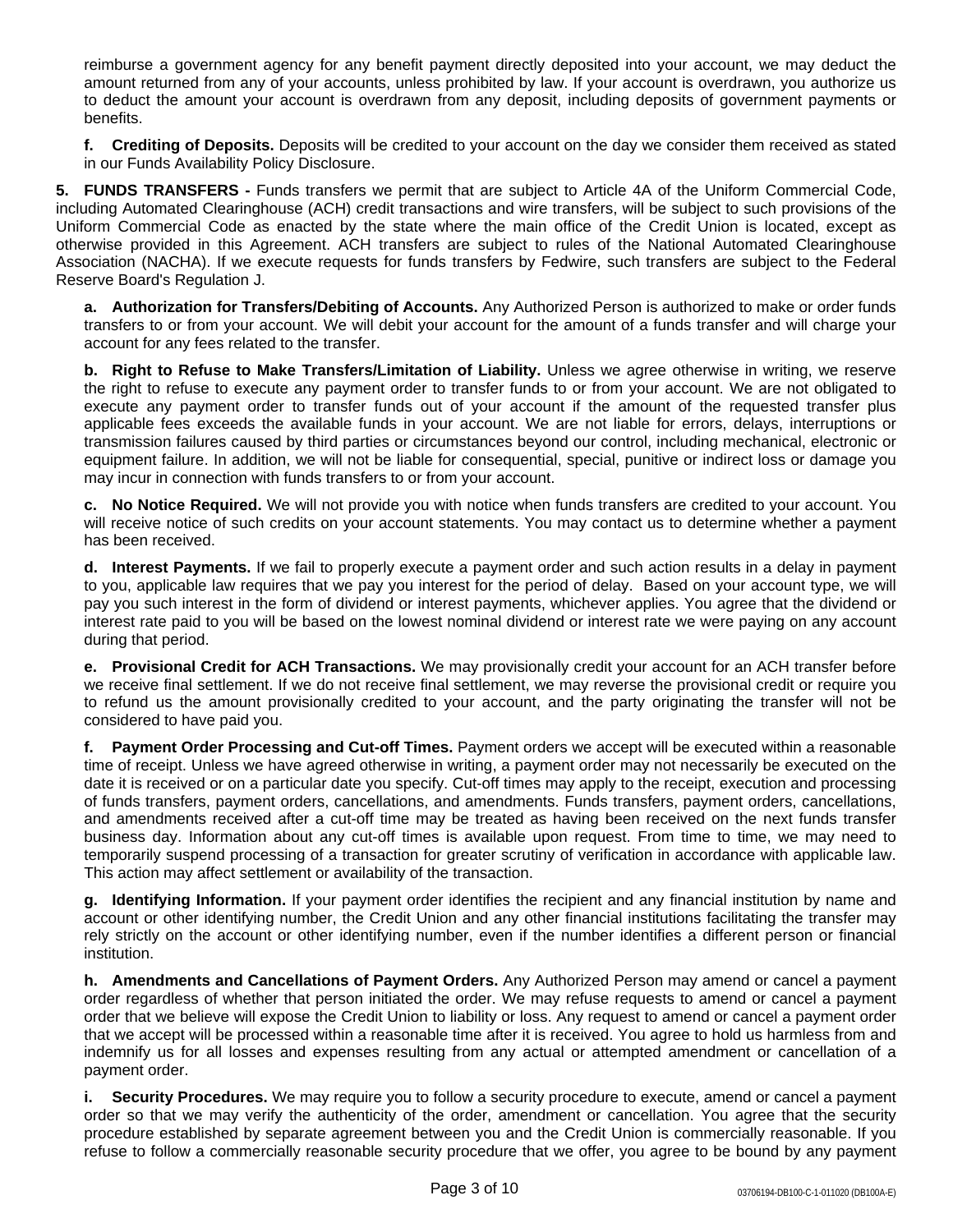reimburse a government agency for any benefit payment directly deposited into your account, we may deduct the amount returned from any of your accounts, unless prohibited by law. If your account is overdrawn, you authorize us to deduct the amount your account is overdrawn from any deposit, including deposits of government payments or benefits.

**f. Crediting of Deposits.** Deposits will be credited to your account on the day we consider them received as stated in our Funds Availability Policy Disclosure.

**5. FUNDS TRANSFERS -** Funds transfers we permit that are subject to Article 4A of the Uniform Commercial Code, including Automated Clearinghouse (ACH) credit transactions and wire transfers, will be subject to such provisions of the Uniform Commercial Code as enacted by the state where the main office of the Credit Union is located, except as otherwise provided in this Agreement. ACH transfers are subject to rules of the National Automated Clearinghouse Association (NACHA). If we execute requests for funds transfers by Fedwire, such transfers are subject to the Federal Reserve Board's Regulation J.

**a. Authorization for Transfers/Debiting of Accounts.** Any Authorized Person is authorized to make or order funds transfers to or from your account. We will debit your account for the amount of a funds transfer and will charge your account for any fees related to the transfer.

**b. Right to Refuse to Make Transfers/Limitation of Liability.** Unless we agree otherwise in writing, we reserve the right to refuse to execute any payment order to transfer funds to or from your account. We are not obligated to execute any payment order to transfer funds out of your account if the amount of the requested transfer plus applicable fees exceeds the available funds in your account. We are not liable for errors, delays, interruptions or transmission failures caused by third parties or circumstances beyond our control, including mechanical, electronic or equipment failure. In addition, we will not be liable for consequential, special, punitive or indirect loss or damage you may incur in connection with funds transfers to or from your account.

**c. No Notice Required.** We will not provide you with notice when funds transfers are credited to your account. You will receive notice of such credits on your account statements. You may contact us to determine whether a payment has been received.

**d. Interest Payments.** If we fail to properly execute a payment order and such action results in a delay in payment to you, applicable law requires that we pay you interest for the period of delay. Based on your account type, we will pay you such interest in the form of dividend or interest payments, whichever applies. You agree that the dividend or interest rate paid to you will be based on the lowest nominal dividend or interest rate we were paying on any account during that period.

**e. Provisional Credit for ACH Transactions.** We may provisionally credit your account for an ACH transfer before we receive final settlement. If we do not receive final settlement, we may reverse the provisional credit or require you to refund us the amount provisionally credited to your account, and the party originating the transfer will not be considered to have paid you.

**f. Payment Order Processing and Cut-off Times.** Payment orders we accept will be executed within a reasonable time of receipt. Unless we have agreed otherwise in writing, a payment order may not necessarily be executed on the date it is received or on a particular date you specify. Cut-off times may apply to the receipt, execution and processing of funds transfers, payment orders, cancellations, and amendments. Funds transfers, payment orders, cancellations, and amendments received after a cut-off time may be treated as having been received on the next funds transfer business day. Information about any cut-off times is available upon request. From time to time, we may need to temporarily suspend processing of a transaction for greater scrutiny of verification in accordance with applicable law. This action may affect settlement or availability of the transaction.

**g. Identifying Information.** If your payment order identifies the recipient and any financial institution by name and account or other identifying number, the Credit Union and any other financial institutions facilitating the transfer may rely strictly on the account or other identifying number, even if the number identifies a different person or financial institution.

**h. Amendments and Cancellations of Payment Orders.** Any Authorized Person may amend or cancel a payment order regardless of whether that person initiated the order. We may refuse requests to amend or cancel a payment order that we believe will expose the Credit Union to liability or loss. Any request to amend or cancel a payment order that we accept will be processed within a reasonable time after it is received. You agree to hold us harmless from and indemnify us for all losses and expenses resulting from any actual or attempted amendment or cancellation of a payment order.

**i. Security Procedures.** We may require you to follow a security procedure to execute, amend or cancel a payment order so that we may verify the authenticity of the order, amendment or cancellation. You agree that the security procedure established by separate agreement between you and the Credit Union is commercially reasonable. If you refuse to follow a commercially reasonable security procedure that we offer, you agree to be bound by any payment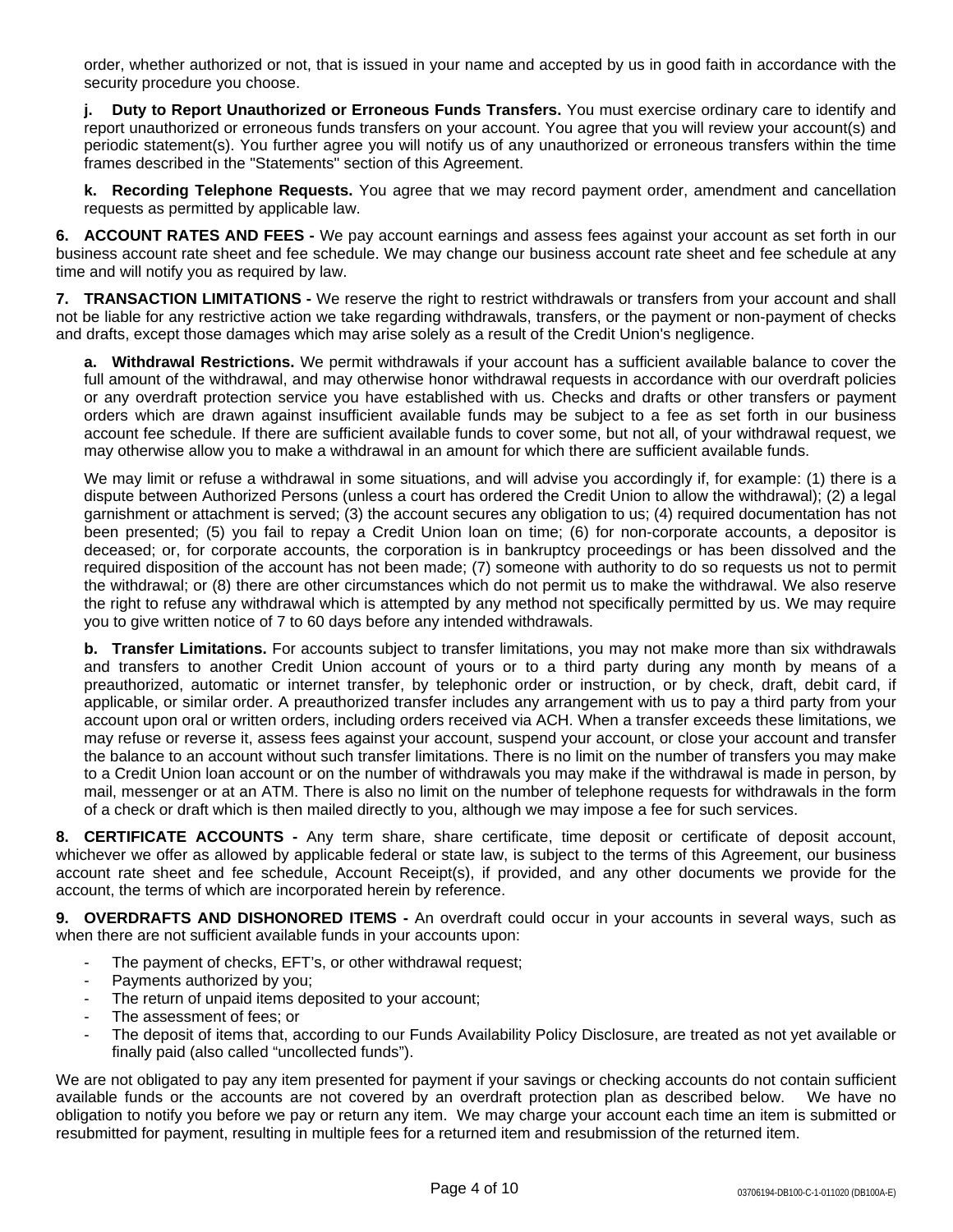order, whether authorized or not, that is issued in your name and accepted by us in good faith in accordance with the security procedure you choose.

**j. Duty to Report Unauthorized or Erroneous Funds Transfers.** You must exercise ordinary care to identify and report unauthorized or erroneous funds transfers on your account. You agree that you will review your account(s) and periodic statement(s). You further agree you will notify us of any unauthorized or erroneous transfers within the time frames described in the "Statements" section of this Agreement.

**k. Recording Telephone Requests.** You agree that we may record payment order, amendment and cancellation requests as permitted by applicable law.

**6. ACCOUNT RATES AND FEES -** We pay account earnings and assess fees against your account as set forth in our business account rate sheet and fee schedule. We may change our business account rate sheet and fee schedule at any time and will notify you as required by law.

**7. TRANSACTION LIMITATIONS -** We reserve the right to restrict withdrawals or transfers from your account and shall not be liable for any restrictive action we take regarding withdrawals, transfers, or the payment or non-payment of checks and drafts, except those damages which may arise solely as a result of the Credit Union's negligence.

**a. Withdrawal Restrictions.** We permit withdrawals if your account has a sufficient available balance to cover the full amount of the withdrawal, and may otherwise honor withdrawal requests in accordance with our overdraft policies or any overdraft protection service you have established with us. Checks and drafts or other transfers or payment orders which are drawn against insufficient available funds may be subject to a fee as set forth in our business account fee schedule. If there are sufficient available funds to cover some, but not all, of your withdrawal request, we may otherwise allow you to make a withdrawal in an amount for which there are sufficient available funds.

We may limit or refuse a withdrawal in some situations, and will advise you accordingly if, for example: (1) there is a dispute between Authorized Persons (unless a court has ordered the Credit Union to allow the withdrawal); (2) a legal garnishment or attachment is served; (3) the account secures any obligation to us; (4) required documentation has not been presented; (5) you fail to repay a Credit Union loan on time; (6) for non-corporate accounts, a depositor is deceased; or, for corporate accounts, the corporation is in bankruptcy proceedings or has been dissolved and the required disposition of the account has not been made; (7) someone with authority to do so requests us not to permit the withdrawal; or (8) there are other circumstances which do not permit us to make the withdrawal. We also reserve the right to refuse any withdrawal which is attempted by any method not specifically permitted by us. We may require you to give written notice of 7 to 60 days before any intended withdrawals.

**b. Transfer Limitations.** For accounts subject to transfer limitations, you may not make more than six withdrawals and transfers to another Credit Union account of yours or to a third party during any month by means of a preauthorized, automatic or internet transfer, by telephonic order or instruction, or by check, draft, debit card, if applicable, or similar order. A preauthorized transfer includes any arrangement with us to pay a third party from your account upon oral or written orders, including orders received via ACH. When a transfer exceeds these limitations, we may refuse or reverse it, assess fees against your account, suspend your account, or close your account and transfer the balance to an account without such transfer limitations. There is no limit on the number of transfers you may make to a Credit Union loan account or on the number of withdrawals you may make if the withdrawal is made in person, by mail, messenger or at an ATM. There is also no limit on the number of telephone requests for withdrawals in the form of a check or draft which is then mailed directly to you, although we may impose a fee for such services.

**8. CERTIFICATE ACCOUNTS -** Any term share, share certificate, time deposit or certificate of deposit account, whichever we offer as allowed by applicable federal or state law, is subject to the terms of this Agreement, our business account rate sheet and fee schedule, Account Receipt(s), if provided, and any other documents we provide for the account, the terms of which are incorporated herein by reference.

**9. OVERDRAFTS AND DISHONORED ITEMS -** An overdraft could occur in your accounts in several ways, such as when there are not sufficient available funds in your accounts upon:

- The payment of checks, EFT's, or other withdrawal request;
- Payments authorized by you;
- The return of unpaid items deposited to your account;
- The assessment of fees; or
- The deposit of items that, according to our Funds Availability Policy Disclosure, are treated as not yet available or finally paid (also called "uncollected funds").

We are not obligated to pay any item presented for payment if your savings or checking accounts do not contain sufficient available funds or the accounts are not covered by an overdraft protection plan as described below. We have no obligation to notify you before we pay or return any item. We may charge your account each time an item is submitted or resubmitted for payment, resulting in multiple fees for a returned item and resubmission of the returned item.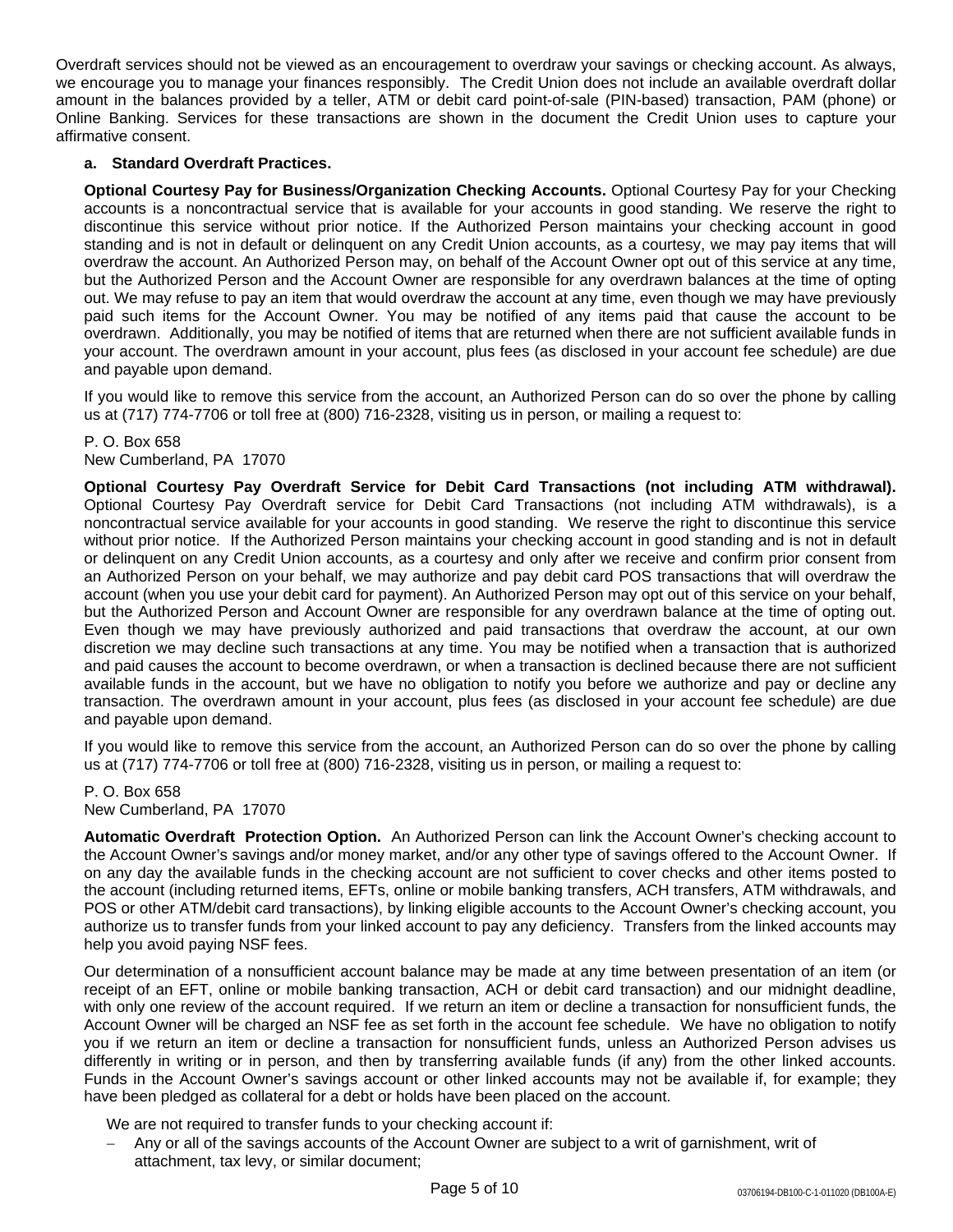Overdraft services should not be viewed as an encouragement to overdraw your savings or checking account. As always, we encourage you to manage your finances responsibly. The Credit Union does not include an available overdraft dollar amount in the balances provided by a teller, ATM or debit card point-of-sale (PIN-based) transaction, PAM (phone) or Online Banking. Services for these transactions are shown in the document the Credit Union uses to capture your affirmative consent.

### **a. Standard Overdraft Practices.**

**Optional Courtesy Pay for Business/Organization Checking Accounts.** Optional Courtesy Pay for your Checking accounts is a noncontractual service that is available for your accounts in good standing. We reserve the right to discontinue this service without prior notice. If the Authorized Person maintains your checking account in good standing and is not in default or delinquent on any Credit Union accounts, as a courtesy, we may pay items that will overdraw the account. An Authorized Person may, on behalf of the Account Owner opt out of this service at any time, but the Authorized Person and the Account Owner are responsible for any overdrawn balances at the time of opting out. We may refuse to pay an item that would overdraw the account at any time, even though we may have previously paid such items for the Account Owner. You may be notified of any items paid that cause the account to be overdrawn. Additionally, you may be notified of items that are returned when there are not sufficient available funds in your account. The overdrawn amount in your account, plus fees (as disclosed in your account fee schedule) are due and payable upon demand.

If you would like to remove this service from the account, an Authorized Person can do so over the phone by calling us at (717) 774-7706 or toll free at (800) 716-2328, visiting us in person, or mailing a request to:

#### P. O. Box 658

New Cumberland, PA 17070

**Optional Courtesy Pay Overdraft Service for Debit Card Transactions (not including ATM withdrawal).** Optional Courtesy Pay Overdraft service for Debit Card Transactions (not including ATM withdrawals), is a noncontractual service available for your accounts in good standing. We reserve the right to discontinue this service without prior notice. If the Authorized Person maintains your checking account in good standing and is not in default or delinquent on any Credit Union accounts, as a courtesy and only after we receive and confirm prior consent from an Authorized Person on your behalf, we may authorize and pay debit card POS transactions that will overdraw the account (when you use your debit card for payment). An Authorized Person may opt out of this service on your behalf, but the Authorized Person and Account Owner are responsible for any overdrawn balance at the time of opting out. Even though we may have previously authorized and paid transactions that overdraw the account, at our own discretion we may decline such transactions at any time. You may be notified when a transaction that is authorized and paid causes the account to become overdrawn, or when a transaction is declined because there are not sufficient available funds in the account, but we have no obligation to notify you before we authorize and pay or decline any transaction. The overdrawn amount in your account, plus fees (as disclosed in your account fee schedule) are due and payable upon demand.

If you would like to remove this service from the account, an Authorized Person can do so over the phone by calling us at (717) 774-7706 or toll free at (800) 716-2328, visiting us in person, or mailing a request to:

P. O. Box 658 New Cumberland, PA 17070

**Automatic Overdraft Protection Option.** An Authorized Person can link the Account Owner's checking account to the Account Owner's savings and/or money market, and/or any other type of savings offered to the Account Owner. If on any day the available funds in the checking account are not sufficient to cover checks and other items posted to the account (including returned items, EFTs, online or mobile banking transfers, ACH transfers, ATM withdrawals, and POS or other ATM/debit card transactions), by linking eligible accounts to the Account Owner's checking account, you authorize us to transfer funds from your linked account to pay any deficiency. Transfers from the linked accounts may help you avoid paying NSF fees.

Our determination of a nonsufficient account balance may be made at any time between presentation of an item (or receipt of an EFT, online or mobile banking transaction, ACH or debit card transaction) and our midnight deadline, with only one review of the account required. If we return an item or decline a transaction for nonsufficient funds, the Account Owner will be charged an NSF fee as set forth in the account fee schedule. We have no obligation to notify you if we return an item or decline a transaction for nonsufficient funds, unless an Authorized Person advises us differently in writing or in person, and then by transferring available funds (if any) from the other linked accounts. Funds in the Account Owner's savings account or other linked accounts may not be available if, for example; they have been pledged as collateral for a debt or holds have been placed on the account.

We are not required to transfer funds to your checking account if:

 Any or all of the savings accounts of the Account Owner are subject to a writ of garnishment, writ of attachment, tax levy, or similar document;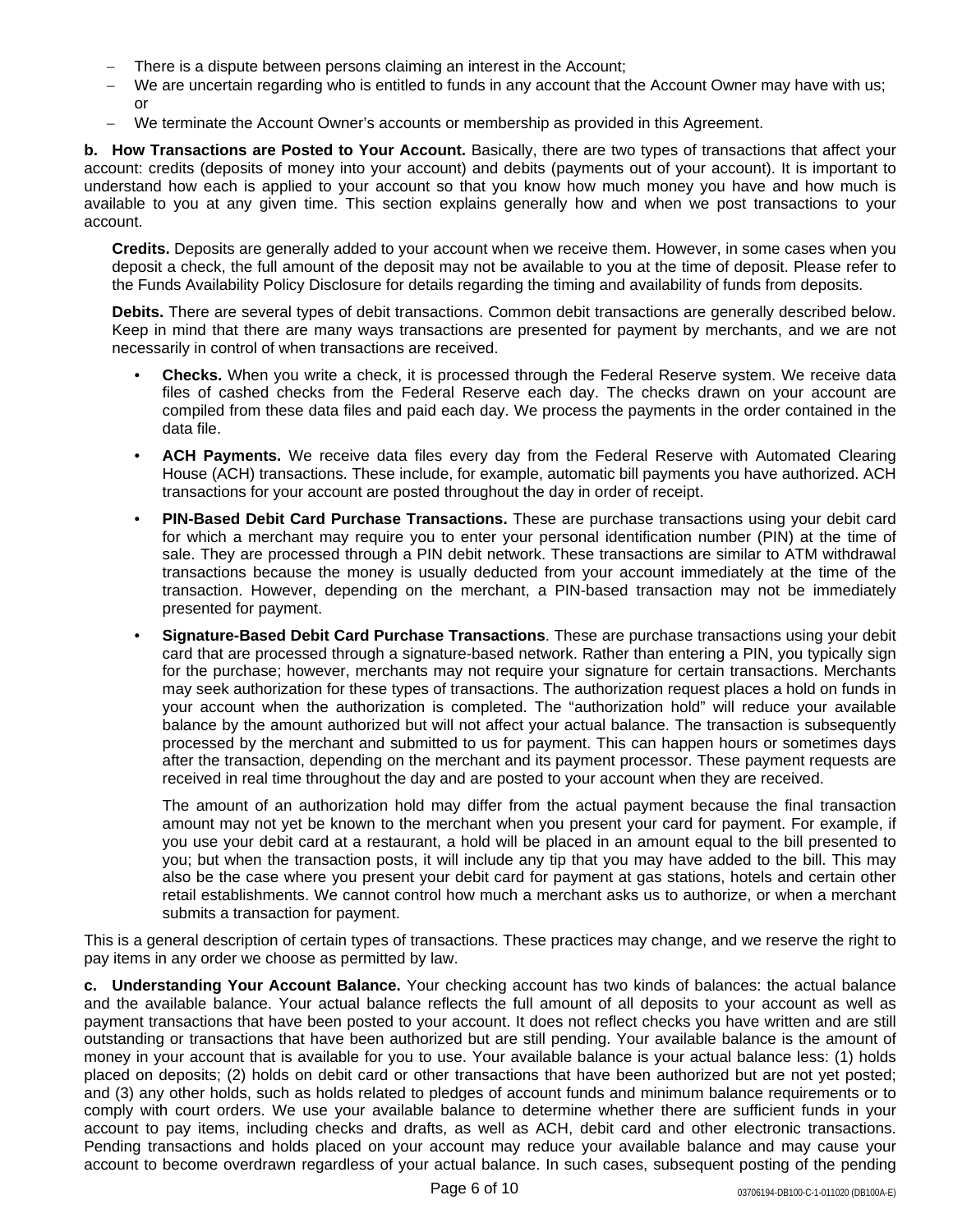- There is a dispute between persons claiming an interest in the Account;
- We are uncertain regarding who is entitled to funds in any account that the Account Owner may have with us; or
- We terminate the Account Owner's accounts or membership as provided in this Agreement.

**b. How Transactions are Posted to Your Account.** Basically, there are two types of transactions that affect your account: credits (deposits of money into your account) and debits (payments out of your account). It is important to understand how each is applied to your account so that you know how much money you have and how much is available to you at any given time. This section explains generally how and when we post transactions to your account.

**Credits.** Deposits are generally added to your account when we receive them. However, in some cases when you deposit a check, the full amount of the deposit may not be available to you at the time of deposit. Please refer to the Funds Availability Policy Disclosure for details regarding the timing and availability of funds from deposits.

**Debits.** There are several types of debit transactions. Common debit transactions are generally described below. Keep in mind that there are many ways transactions are presented for payment by merchants, and we are not necessarily in control of when transactions are received.

- **Checks.** When you write a check, it is processed through the Federal Reserve system. We receive data files of cashed checks from the Federal Reserve each day. The checks drawn on your account are compiled from these data files and paid each day. We process the payments in the order contained in the data file.
- **ACH Payments.** We receive data files every day from the Federal Reserve with Automated Clearing House (ACH) transactions. These include, for example, automatic bill payments you have authorized. ACH transactions for your account are posted throughout the day in order of receipt.
- **PIN-Based Debit Card Purchase Transactions.** These are purchase transactions using your debit card for which a merchant may require you to enter your personal identification number (PIN) at the time of sale. They are processed through a PIN debit network. These transactions are similar to ATM withdrawal transactions because the money is usually deducted from your account immediately at the time of the transaction. However, depending on the merchant, a PIN-based transaction may not be immediately presented for payment.
- **Signature-Based Debit Card Purchase Transactions**. These are purchase transactions using your debit card that are processed through a signature-based network. Rather than entering a PIN, you typically sign for the purchase; however, merchants may not require your signature for certain transactions. Merchants may seek authorization for these types of transactions. The authorization request places a hold on funds in your account when the authorization is completed. The "authorization hold" will reduce your available balance by the amount authorized but will not affect your actual balance. The transaction is subsequently processed by the merchant and submitted to us for payment. This can happen hours or sometimes days after the transaction, depending on the merchant and its payment processor. These payment requests are received in real time throughout the day and are posted to your account when they are received.

The amount of an authorization hold may differ from the actual payment because the final transaction amount may not yet be known to the merchant when you present your card for payment. For example, if you use your debit card at a restaurant, a hold will be placed in an amount equal to the bill presented to you; but when the transaction posts, it will include any tip that you may have added to the bill. This may also be the case where you present your debit card for payment at gas stations, hotels and certain other retail establishments. We cannot control how much a merchant asks us to authorize, or when a merchant submits a transaction for payment.

This is a general description of certain types of transactions. These practices may change, and we reserve the right to pay items in any order we choose as permitted by law.

**c. Understanding Your Account Balance.** Your checking account has two kinds of balances: the actual balance and the available balance. Your actual balance reflects the full amount of all deposits to your account as well as payment transactions that have been posted to your account. It does not reflect checks you have written and are still outstanding or transactions that have been authorized but are still pending. Your available balance is the amount of money in your account that is available for you to use. Your available balance is your actual balance less: (1) holds placed on deposits; (2) holds on debit card or other transactions that have been authorized but are not yet posted; and (3) any other holds, such as holds related to pledges of account funds and minimum balance requirements or to comply with court orders. We use your available balance to determine whether there are sufficient funds in your account to pay items, including checks and drafts, as well as ACH, debit card and other electronic transactions. Pending transactions and holds placed on your account may reduce your available balance and may cause your account to become overdrawn regardless of your actual balance. In such cases, subsequent posting of the pending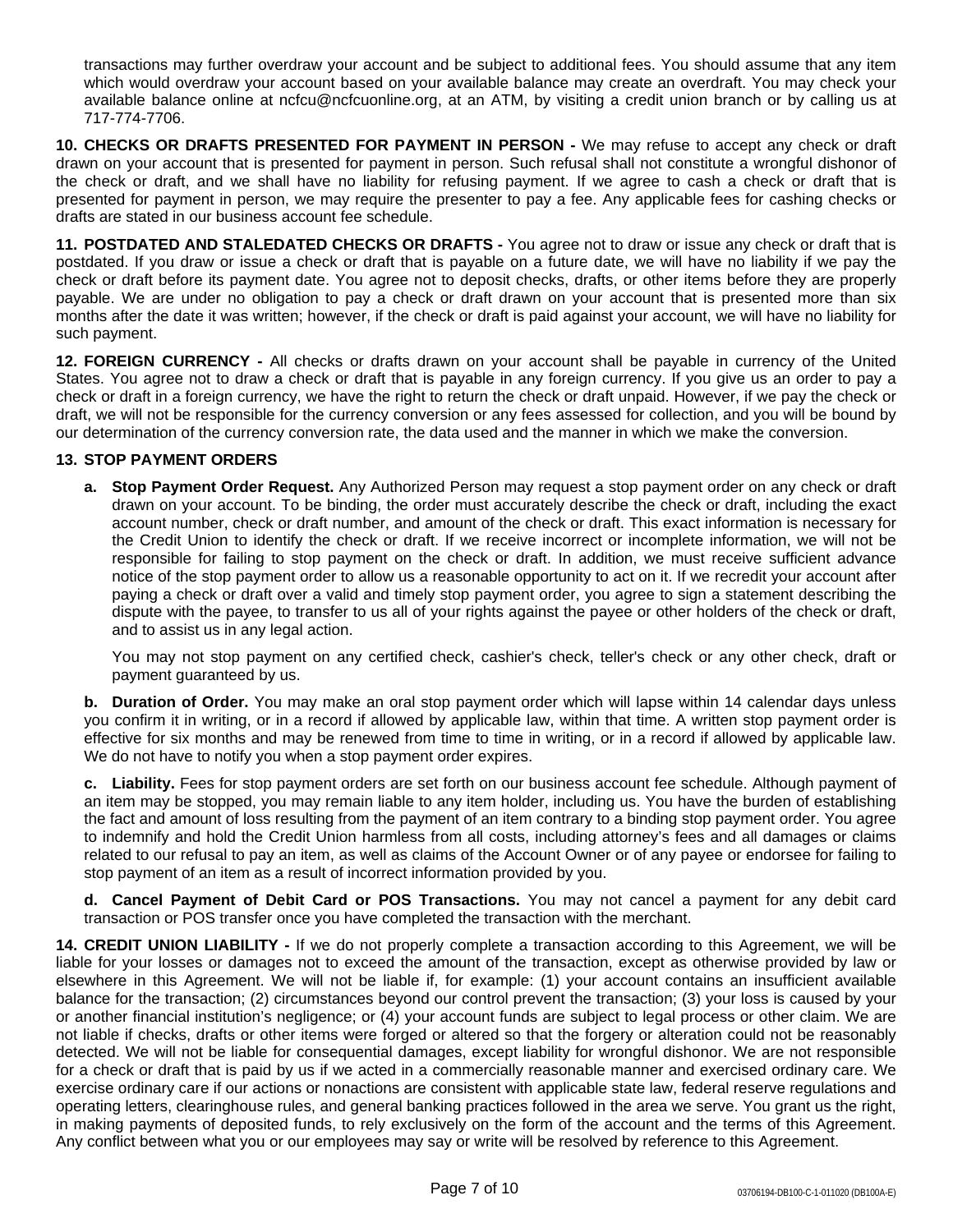transactions may further overdraw your account and be subject to additional fees. You should assume that any item which would overdraw your account based on your available balance may create an overdraft. You may check your available balance online at ncfcu@ncfcuonline.org, at an ATM, by visiting a credit union branch or by calling us at 717-774-7706.

**10. CHECKS OR DRAFTS PRESENTED FOR PAYMENT IN PERSON -** We may refuse to accept any check or draft drawn on your account that is presented for payment in person. Such refusal shall not constitute a wrongful dishonor of the check or draft, and we shall have no liability for refusing payment. If we agree to cash a check or draft that is presented for payment in person, we may require the presenter to pay a fee. Any applicable fees for cashing checks or drafts are stated in our business account fee schedule.

**11. POSTDATED AND STALEDATED CHECKS OR DRAFTS -** You agree not to draw or issue any check or draft that is postdated. If you draw or issue a check or draft that is payable on a future date, we will have no liability if we pay the check or draft before its payment date. You agree not to deposit checks, drafts, or other items before they are properly payable. We are under no obligation to pay a check or draft drawn on your account that is presented more than six months after the date it was written; however, if the check or draft is paid against your account, we will have no liability for such payment.

**12. FOREIGN CURRENCY -** All checks or drafts drawn on your account shall be payable in currency of the United States. You agree not to draw a check or draft that is payable in any foreign currency. If you give us an order to pay a check or draft in a foreign currency, we have the right to return the check or draft unpaid. However, if we pay the check or draft, we will not be responsible for the currency conversion or any fees assessed for collection, and you will be bound by our determination of the currency conversion rate, the data used and the manner in which we make the conversion.

## **13. STOP PAYMENT ORDERS**

**a. Stop Payment Order Request.** Any Authorized Person may request a stop payment order on any check or draft drawn on your account. To be binding, the order must accurately describe the check or draft, including the exact account number, check or draft number, and amount of the check or draft. This exact information is necessary for the Credit Union to identify the check or draft. If we receive incorrect or incomplete information, we will not be responsible for failing to stop payment on the check or draft. In addition, we must receive sufficient advance notice of the stop payment order to allow us a reasonable opportunity to act on it. If we recredit your account after paying a check or draft over a valid and timely stop payment order, you agree to sign a statement describing the dispute with the payee, to transfer to us all of your rights against the payee or other holders of the check or draft, and to assist us in any legal action.

You may not stop payment on any certified check, cashier's check, teller's check or any other check, draft or payment guaranteed by us.

**b. Duration of Order.** You may make an oral stop payment order which will lapse within 14 calendar days unless you confirm it in writing, or in a record if allowed by applicable law, within that time. A written stop payment order is effective for six months and may be renewed from time to time in writing, or in a record if allowed by applicable law. We do not have to notify you when a stop payment order expires.

**c. Liability.** Fees for stop payment orders are set forth on our business account fee schedule. Although payment of an item may be stopped, you may remain liable to any item holder, including us. You have the burden of establishing the fact and amount of loss resulting from the payment of an item contrary to a binding stop payment order. You agree to indemnify and hold the Credit Union harmless from all costs, including attorney's fees and all damages or claims related to our refusal to pay an item, as well as claims of the Account Owner or of any payee or endorsee for failing to stop payment of an item as a result of incorrect information provided by you.

**d. Cancel Payment of Debit Card or POS Transactions.** You may not cancel a payment for any debit card transaction or POS transfer once you have completed the transaction with the merchant.

**14. CREDIT UNION LIABILITY -** If we do not properly complete a transaction according to this Agreement, we will be liable for your losses or damages not to exceed the amount of the transaction, except as otherwise provided by law or elsewhere in this Agreement. We will not be liable if, for example: (1) your account contains an insufficient available balance for the transaction; (2) circumstances beyond our control prevent the transaction; (3) your loss is caused by your or another financial institution's negligence; or (4) your account funds are subject to legal process or other claim. We are not liable if checks, drafts or other items were forged or altered so that the forgery or alteration could not be reasonably detected. We will not be liable for consequential damages, except liability for wrongful dishonor. We are not responsible for a check or draft that is paid by us if we acted in a commercially reasonable manner and exercised ordinary care. We exercise ordinary care if our actions or nonactions are consistent with applicable state law, federal reserve regulations and operating letters, clearinghouse rules, and general banking practices followed in the area we serve. You grant us the right, in making payments of deposited funds, to rely exclusively on the form of the account and the terms of this Agreement. Any conflict between what you or our employees may say or write will be resolved by reference to this Agreement.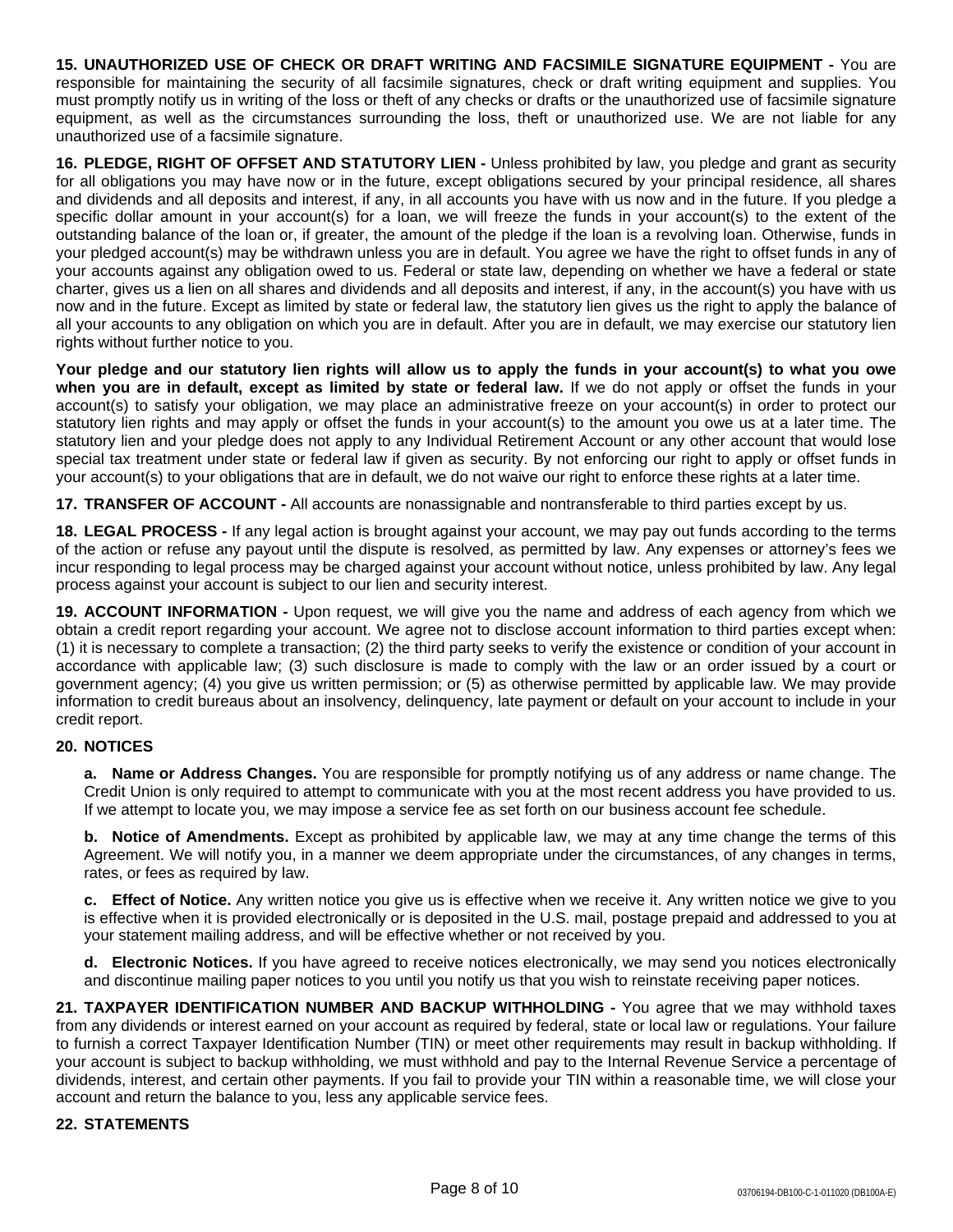**15. UNAUTHORIZED USE OF CHECK OR DRAFT WRITING AND FACSIMILE SIGNATURE EQUIPMENT -** You are responsible for maintaining the security of all facsimile signatures, check or draft writing equipment and supplies. You must promptly notify us in writing of the loss or theft of any checks or drafts or the unauthorized use of facsimile signature equipment, as well as the circumstances surrounding the loss, theft or unauthorized use. We are not liable for any unauthorized use of a facsimile signature.

**16. PLEDGE, RIGHT OF OFFSET AND STATUTORY LIEN -** Unless prohibited by law, you pledge and grant as security for all obligations you may have now or in the future, except obligations secured by your principal residence, all shares and dividends and all deposits and interest, if any, in all accounts you have with us now and in the future. If you pledge a specific dollar amount in your account(s) for a loan, we will freeze the funds in your account(s) to the extent of the outstanding balance of the loan or, if greater, the amount of the pledge if the loan is a revolving loan. Otherwise, funds in your pledged account(s) may be withdrawn unless you are in default. You agree we have the right to offset funds in any of your accounts against any obligation owed to us. Federal or state law, depending on whether we have a federal or state charter, gives us a lien on all shares and dividends and all deposits and interest, if any, in the account(s) you have with us now and in the future. Except as limited by state or federal law, the statutory lien gives us the right to apply the balance of all your accounts to any obligation on which you are in default. After you are in default, we may exercise our statutory lien rights without further notice to you.

Your pledge and our statutory lien rights will allow us to apply the funds in your account(s) to what you owe **when you are in default, except as limited by state or federal law.** If we do not apply or offset the funds in your account(s) to satisfy your obligation, we may place an administrative freeze on your account(s) in order to protect our statutory lien rights and may apply or offset the funds in your account(s) to the amount you owe us at a later time. The statutory lien and your pledge does not apply to any Individual Retirement Account or any other account that would lose special tax treatment under state or federal law if given as security. By not enforcing our right to apply or offset funds in your account(s) to your obligations that are in default, we do not waive our right to enforce these rights at a later time.

**17. TRANSFER OF ACCOUNT -** All accounts are nonassignable and nontransferable to third parties except by us.

**18. LEGAL PROCESS -** If any legal action is brought against your account, we may pay out funds according to the terms of the action or refuse any payout until the dispute is resolved, as permitted by law. Any expenses or attorney's fees we incur responding to legal process may be charged against your account without notice, unless prohibited by law. Any legal process against your account is subject to our lien and security interest.

**19. ACCOUNT INFORMATION -** Upon request, we will give you the name and address of each agency from which we obtain a credit report regarding your account. We agree not to disclose account information to third parties except when: (1) it is necessary to complete a transaction; (2) the third party seeks to verify the existence or condition of your account in accordance with applicable law; (3) such disclosure is made to comply with the law or an order issued by a court or government agency; (4) you give us written permission; or (5) as otherwise permitted by applicable law. We may provide information to credit bureaus about an insolvency, delinquency, late payment or default on your account to include in your credit report.

## **20. NOTICES**

**a. Name or Address Changes.** You are responsible for promptly notifying us of any address or name change. The Credit Union is only required to attempt to communicate with you at the most recent address you have provided to us. If we attempt to locate you, we may impose a service fee as set forth on our business account fee schedule.

**b. Notice of Amendments.** Except as prohibited by applicable law, we may at any time change the terms of this Agreement. We will notify you, in a manner we deem appropriate under the circumstances, of any changes in terms, rates, or fees as required by law.

**c. Effect of Notice.** Any written notice you give us is effective when we receive it. Any written notice we give to you is effective when it is provided electronically or is deposited in the U.S. mail, postage prepaid and addressed to you at your statement mailing address, and will be effective whether or not received by you.

**d. Electronic Notices.** If you have agreed to receive notices electronically, we may send you notices electronically and discontinue mailing paper notices to you until you notify us that you wish to reinstate receiving paper notices.

**21. TAXPAYER IDENTIFICATION NUMBER AND BACKUP WITHHOLDING -** You agree that we may withhold taxes from any dividends or interest earned on your account as required by federal, state or local law or regulations. Your failure to furnish a correct Taxpayer Identification Number (TIN) or meet other requirements may result in backup withholding. If your account is subject to backup withholding, we must withhold and pay to the Internal Revenue Service a percentage of dividends, interest, and certain other payments. If you fail to provide your TIN within a reasonable time, we will close your account and return the balance to you, less any applicable service fees.

## **22. STATEMENTS**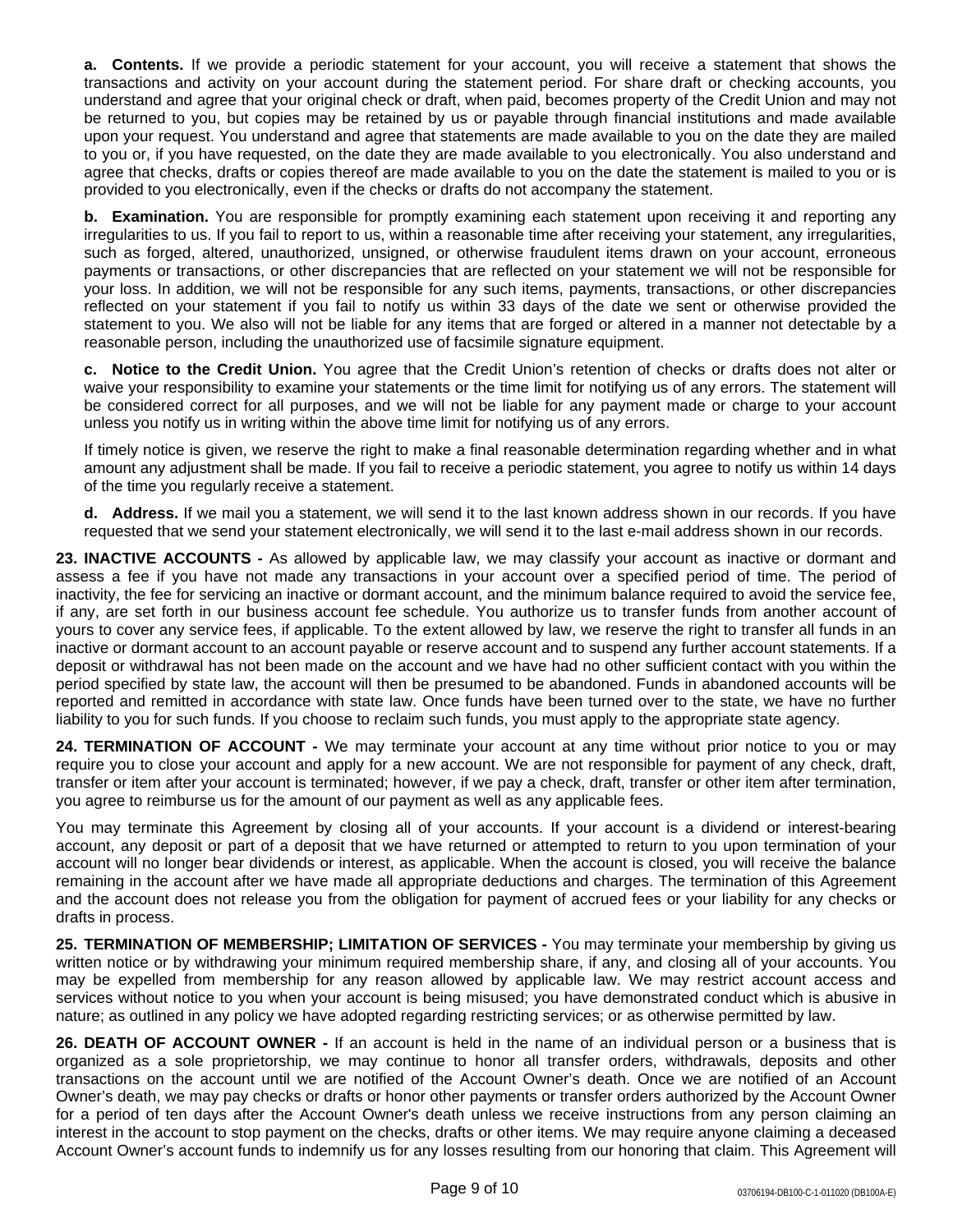**a. Contents.** If we provide a periodic statement for your account, you will receive a statement that shows the transactions and activity on your account during the statement period. For share draft or checking accounts, you understand and agree that your original check or draft, when paid, becomes property of the Credit Union and may not be returned to you, but copies may be retained by us or payable through financial institutions and made available upon your request. You understand and agree that statements are made available to you on the date they are mailed to you or, if you have requested, on the date they are made available to you electronically. You also understand and agree that checks, drafts or copies thereof are made available to you on the date the statement is mailed to you or is provided to you electronically, even if the checks or drafts do not accompany the statement.

**b. Examination.** You are responsible for promptly examining each statement upon receiving it and reporting any irregularities to us. If you fail to report to us, within a reasonable time after receiving your statement, any irregularities, such as forged, altered, unauthorized, unsigned, or otherwise fraudulent items drawn on your account, erroneous payments or transactions, or other discrepancies that are reflected on your statement we will not be responsible for your loss. In addition, we will not be responsible for any such items, payments, transactions, or other discrepancies reflected on your statement if you fail to notify us within 33 days of the date we sent or otherwise provided the statement to you. We also will not be liable for any items that are forged or altered in a manner not detectable by a reasonable person, including the unauthorized use of facsimile signature equipment.

**c. Notice to the Credit Union.** You agree that the Credit Union's retention of checks or drafts does not alter or waive your responsibility to examine your statements or the time limit for notifying us of any errors. The statement will be considered correct for all purposes, and we will not be liable for any payment made or charge to your account unless you notify us in writing within the above time limit for notifying us of any errors.

If timely notice is given, we reserve the right to make a final reasonable determination regarding whether and in what amount any adjustment shall be made. If you fail to receive a periodic statement, you agree to notify us within 14 days of the time you regularly receive a statement.

**d. Address.** If we mail you a statement, we will send it to the last known address shown in our records. If you have requested that we send your statement electronically, we will send it to the last e-mail address shown in our records.

**23. INACTIVE ACCOUNTS -** As allowed by applicable law, we may classify your account as inactive or dormant and assess a fee if you have not made any transactions in your account over a specified period of time. The period of inactivity, the fee for servicing an inactive or dormant account, and the minimum balance required to avoid the service fee, if any, are set forth in our business account fee schedule. You authorize us to transfer funds from another account of yours to cover any service fees, if applicable. To the extent allowed by law, we reserve the right to transfer all funds in an inactive or dormant account to an account payable or reserve account and to suspend any further account statements. If a deposit or withdrawal has not been made on the account and we have had no other sufficient contact with you within the period specified by state law, the account will then be presumed to be abandoned. Funds in abandoned accounts will be reported and remitted in accordance with state law. Once funds have been turned over to the state, we have no further liability to you for such funds. If you choose to reclaim such funds, you must apply to the appropriate state agency.

**24. TERMINATION OF ACCOUNT -** We may terminate your account at any time without prior notice to you or may require you to close your account and apply for a new account. We are not responsible for payment of any check, draft, transfer or item after your account is terminated; however, if we pay a check, draft, transfer or other item after termination, you agree to reimburse us for the amount of our payment as well as any applicable fees.

You may terminate this Agreement by closing all of your accounts. If your account is a dividend or interest-bearing account, any deposit or part of a deposit that we have returned or attempted to return to you upon termination of your account will no longer bear dividends or interest, as applicable. When the account is closed, you will receive the balance remaining in the account after we have made all appropriate deductions and charges. The termination of this Agreement and the account does not release you from the obligation for payment of accrued fees or your liability for any checks or drafts in process.

**25. TERMINATION OF MEMBERSHIP; LIMITATION OF SERVICES -** You may terminate your membership by giving us written notice or by withdrawing your minimum required membership share, if any, and closing all of your accounts. You may be expelled from membership for any reason allowed by applicable law. We may restrict account access and services without notice to you when your account is being misused; you have demonstrated conduct which is abusive in nature; as outlined in any policy we have adopted regarding restricting services; or as otherwise permitted by law.

**26. DEATH OF ACCOUNT OWNER -** If an account is held in the name of an individual person or a business that is organized as a sole proprietorship, we may continue to honor all transfer orders, withdrawals, deposits and other transactions on the account until we are notified of the Account Owner's death. Once we are notified of an Account Owner's death, we may pay checks or drafts or honor other payments or transfer orders authorized by the Account Owner for a period of ten days after the Account Owner's death unless we receive instructions from any person claiming an interest in the account to stop payment on the checks, drafts or other items. We may require anyone claiming a deceased Account Owner's account funds to indemnify us for any losses resulting from our honoring that claim. This Agreement will